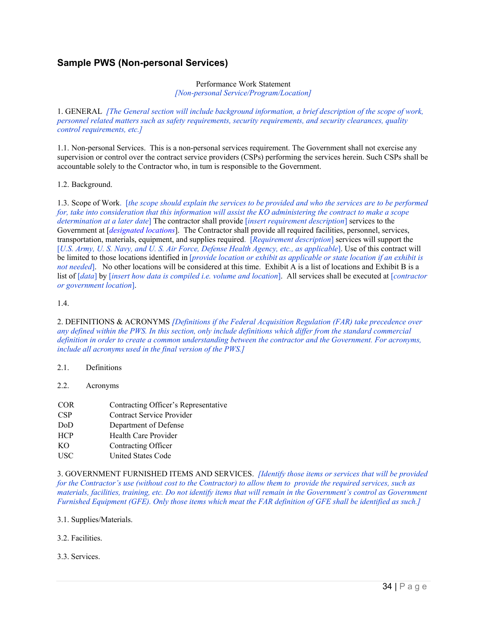## **Sample PWS (Non-personal Services)**

## Performance Work Statement *[Non-personal Service/Program/Location]*

1. GENERAL *[The General section will include background information, a brief description of the scope of work, personnel related matters such as safety requirements, security requirements, and security clearances, quality control requirements, etc.]*

1.1. Non-personal Services. This is a non-personal services requirement. The Government shall not exercise any supervision or control over the contract service providers (CSPs) performing the services herein. Such CSPs shall be accountable solely to the Contractor who, in tum is responsible to the Government.

## 1.2. Background.

1.3. Scope of Work. [*the scope should explain the services to be provided and who the services are to be performed for, take into consideration that this information will assist the KO administering the contract to make a scope determination at a later date*] The contractor shall provide [*insert requirement description*] services to the Government at [*designated locations*]. The Contractor shall provide all required facilities, personnel, services, transportation, materials, equipment, and supplies required. [*Requirement description*] services will support the [*U.S. Army, U. S. Navy, and U. S. Air Force, Defense Health Agency, etc., as applicable*]. Use of this contract will be limited to those locations identified in [*provide location or exhibit as applicable or state location if an exhibit is not needed*. No other locations will be considered at this time. Exhibit A is a list of locations and Exhibit B is a list of [*data*] by [*insert how data is compiled i.e. volume and location*]. All services shall be executed at [*contractor or government location*].

## 1.4.

2. DEFINITIONS & ACRONYMS *[Definitions if the Federal Acquisition Regulation (FAR) take precedence over any defined within the PWS. In this section, only include definitions which differ from the standard commercial definition in order to create a common understanding between the contractor and the Government. For acronyms, include all acronyms used in the final version of the PWS.]*

- 2.1. Definitions
- 2.2. Acronyms
- COR Contracting Officer's Representative CSP Contract Service Provider DoD Department of Defense HCP Health Care Provider KO Contracting Officer USC United States Code

3. GOVERNMENT FURNISHED ITEMS AND SERVICES. *[Identify those items or services that will be provided for the Contractor's use (without cost to the Contractor) to allow them to provide the required services, such as materials, facilities, training, etc. Do not identify items that will remain in the Government's control as Government Furnished Equipment (GFE). Only those items which meat the FAR definition of GFE shall be identified as such.]*

- 3.1. Supplies/Materials.
- 3.2. Facilities.

3.3. Services.